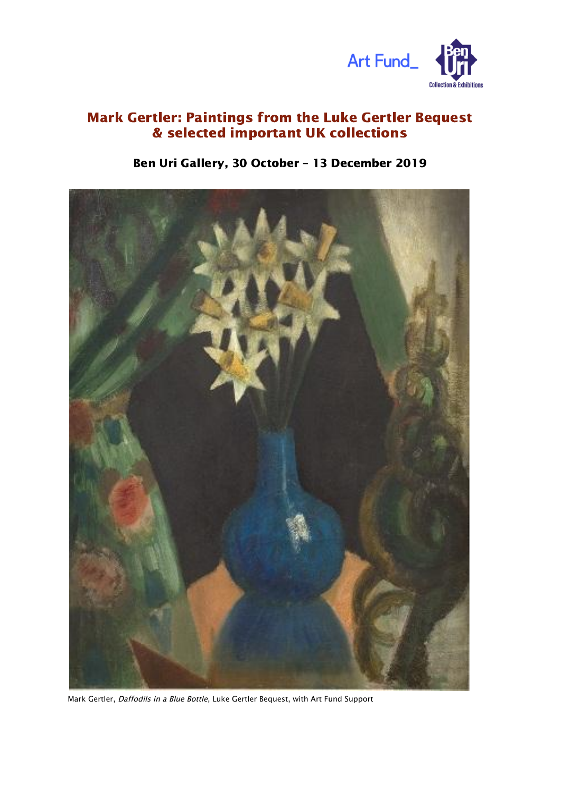

## Mark Gertler: Paintings from the Luke Gertler Bequest & selected important UK collections

## Ben Uri Gallery, 30 October – 13 December 2019



Mark Gertler, Daffodils in <sup>a</sup> Blue Bottle, Luke Gertler Bequest, with Art Fund Support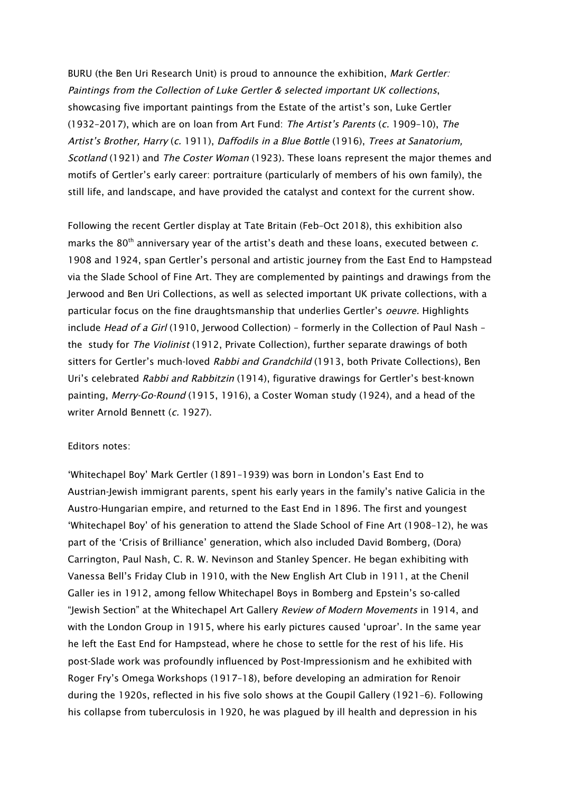BURU (the Ben Uri Research Unit) is proud to announce the exhibition, Mark Gertler: Paintings from the Collection of Luke Gertler & selected important UK collections, showcasing five important paintings from the Estate of the artist's son, Luke Gertler (1932–2017), which are on loan from Art Fund: The Artist's Parents (c. 1909–10), The Artist's Brother, Harry (c. 1911), Daffodils in <sup>a</sup> Blue Bottle (1916), Trees at Sanatorium, Scotland (1921) and The Coster Woman (1923). These loans represent the major themes and motifs of Gertler's early career: portraiture (particularly of members of his own family), the still life, and landscape, and have provided the catalyst and context for the current show.

Following the recent Gertler display at Tate Britain (Feb–Oct 2018), this exhibition also marks the 80<sup>th</sup> anniversary year of the artist's death and these loans, executed between  $c$ . 1908 and 1924, span Gertler's personal and artistic journey from the East End to Hampstead via the Slade School of Fine Art. They are complemented by paintings and drawings from the Jerwood and Ben Uri Collections, as well as selected important UK private collections, with a particular focus on the fine draughtsmanship that underlies Gertler's oeuvre. Highlights include Head of a Girl (1910, Jerwood Collection) – formerly in the Collection of Paul Nash – the study for The Violinist (1912, Private Collection), further separate drawings of both sitters for Gertler's much-loved Rabbi and Grandchild (1913, both Private Collections), Ben Uri's celebrated Rabbi and Rabbitzin (1914), figurative drawings for Gertler's best-known painting, Merry-Go-Round (1915, 1916), a Coster Woman study (1924), and a head of the writer Arnold Bennett (c. 1927).

## Editors notes:

'Whitechapel Boy' Mark Gertler (1891–1939) was born in London's East End to Austrian-Jewish immigrant parents, spent his early years in the family's native Galicia in the Austro-Hungarian empire, and returned to the East End in 1896. The first and youngest 'Whitechapel Boy' of his generation to attend the Slade School of Fine Art (1908–12), he was part of the 'Crisis of Brilliance' generation, which also included David Bomberg, (Dora) Carrington, Paul Nash, C. R. W. Nevinson and Stanley Spencer. He began exhibiting with Vanessa Bell's Friday Club in 1910, with the New English Art Club in 1911, at the Chenil Galler ies in 1912, among fellow Whitechapel Boys in Bomberg and Epstein's so-called "Jewish Section" at the Whitechapel Art Gallery Review of Modern Movements in 1914, and with the London Group in 1915, where his early pictures caused 'uproar'. In the same year he left the East End for Hampstead, where he chose to settle for the rest of his life. His post-Slade work was profoundly influenced by Post-Impressionism and he exhibited with Roger Fry's Omega Workshops (1917–18), before developing an admiration for Renoir during the 1920s, reflected in his five solo shows at the Goupil Gallery (1921–6). Following his collapse from tuberculosis in 1920, he was plagued by ill health and depression in his